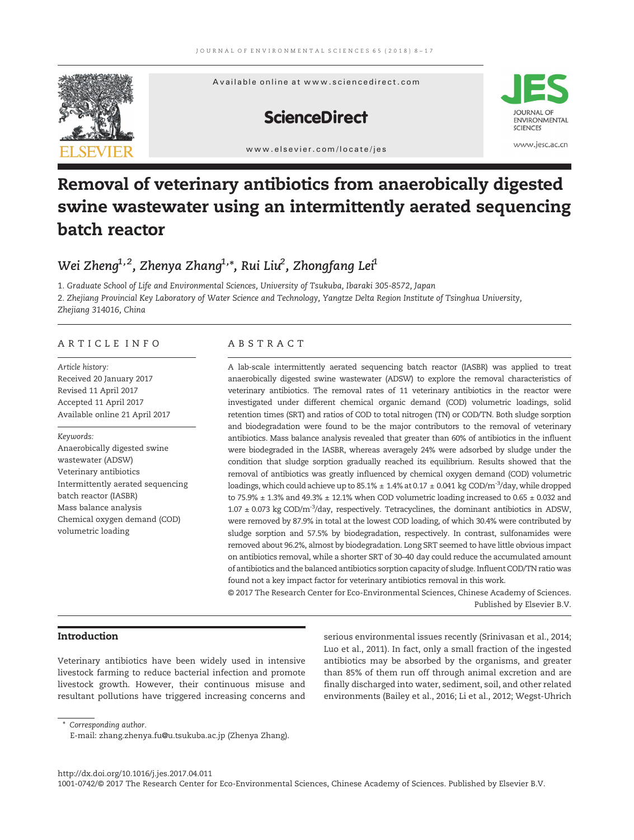

# Removal of veterinary antibiotics from anaerobically digested swine wastewater using an intermittently aerated sequencing batch reactor

## Wei Zheng $^{1,2}$ , Zhenya Zhang $^{1,\ast}$ , Rui Liu $^{2}$ , Zhongfang Lei $^{1}$

1. Graduate School of Life and Environmental Sciences, University of Tsukuba, Ibaraki 305-8572, Japan 2. Zhejiang Provincial Key Laboratory of Water Science and Technology, Yangtze Delta Region Institute of Tsinghua University, Zhejiang 314016, China

### ARTICLE INFO ABSTRACT

Article history: Received 20 January 2017 Revised 11 April 2017 Accepted 11 April 2017 Available online 21 April 2017

#### Keywords:

Anaerobically digested swine wastewater (ADSW) Veterinary antibiotics Intermittently aerated sequencing batch reactor (IASBR) Mass balance analysis Chemical oxygen demand (COD) volumetric loading

A lab-scale intermittently aerated sequencing batch reactor (IASBR) was applied to treat anaerobically digested swine wastewater (ADSW) to explore the removal characteristics of veterinary antibiotics. The removal rates of 11 veterinary antibiotics in the reactor were investigated under different chemical organic demand (COD) volumetric loadings, solid retention times (SRT) and ratios of COD to total nitrogen (TN) or COD/TN. Both sludge sorption and biodegradation were found to be the major contributors to the removal of veterinary antibiotics. Mass balance analysis revealed that greater than 60% of antibiotics in the influent were biodegraded in the IASBR, whereas averagely 24% were adsorbed by sludge under the condition that sludge sorption gradually reached its equilibrium. Results showed that the removal of antibiotics was greatly influenced by chemical oxygen demand (COD) volumetric loadings, which could achieve up to 85.1%  $\pm$  1.4% at 0.17  $\pm$  0.041 kg COD/m<sup>-3</sup>/day, while dropped to 75.9%  $\pm$  1.3% and 49.3%  $\pm$  12.1% when COD volumetric loading increased to 0.65  $\pm$  0.032 and  $1.07 \pm 0.073$  kg COD/m<sup>-3</sup>/day, respectively. Tetracyclines, the dominant antibiotics in ADSW, were removed by 87.9% in total at the lowest COD loading, of which 30.4% were contributed by sludge sorption and 57.5% by biodegradation, respectively. In contrast, sulfonamides were removed about 96.2%, almost by biodegradation. Long SRT seemed to have little obvious impact on antibiotics removal, while a shorter SRT of 30–40 day could reduce the accumulated amount of antibiotics and the balanced antibiotics sorption capacity of sludge. Influent COD/TN ratio was found not a key impact factor for veterinary antibiotics removal in this work.

© 2017 The Research Center for Eco-Environmental Sciences, Chinese Academy of Sciences. Published by Elsevier B.V.

#### Introduction

Veterinary antibiotics have been widely used in intensive livestock farming to reduce bacterial infection and promote livestock growth. However, their continuous misuse and resultant pollutions have triggered increasing concerns and serious environmental issues recently (Srinivasan et al., 2014; Luo et al., 2011). In fact, only a small fraction of the ingested antibiotics may be absorbed by the organisms, and greater than 85% of them run off through animal excretion and are finally discharged into water, sediment, soil, and other related environments (Bailey et al., 2016; Li et al., 2012; Wegst-Uhrich

⁎ Corresponding author.

http://dx.doi.org/10.1016/j.jes.2017.04.011 1001-0742/© 2017 The Research Center for Eco-Environmental Sciences, Chinese Academy of Sciences. Published by Elsevier B.V.

E-mail: zhang.zhenya.fu@u.tsukuba.ac.jp (Zhenya Zhang).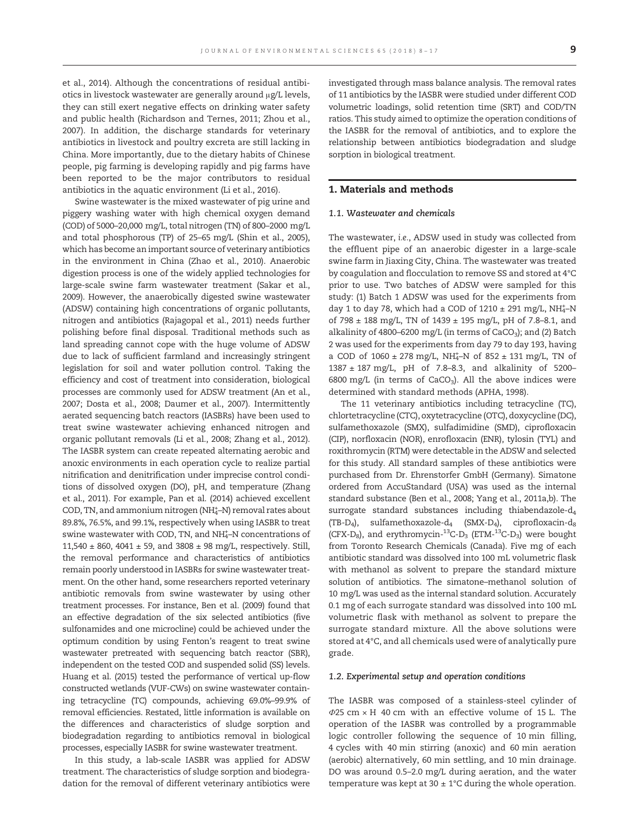et al., 2014). Although the concentrations of residual antibiotics in livestock wastewater are generally around μg/L levels, they can still exert negative effects on drinking water safety and public health (Richardson and Ternes, 2011; Zhou et al., 2007). In addition, the discharge standards for veterinary antibiotics in livestock and poultry excreta are still lacking in China. More importantly, due to the dietary habits of Chinese people, pig farming is developing rapidly and pig farms have been reported to be the major contributors to residual antibiotics in the aquatic environment (Li et al., 2016).

Swine wastewater is the mixed wastewater of pig urine and piggery washing water with high chemical oxygen demand (COD) of 5000–20,000 mg/L, total nitrogen (TN) of 800–2000 mg/L and total phosphorous (TP) of 25–65 mg/L (Shin et al., 2005), which has become an important source of veterinary antibiotics in the environment in China (Zhao et al., 2010). Anaerobic digestion process is one of the widely applied technologies for large-scale swine farm wastewater treatment (Sakar et al., 2009). However, the anaerobically digested swine wastewater (ADSW) containing high concentrations of organic pollutants, nitrogen and antibiotics (Rajagopal et al., 2011) needs further polishing before final disposal. Traditional methods such as land spreading cannot cope with the huge volume of ADSW due to lack of sufficient farmland and increasingly stringent legislation for soil and water pollution control. Taking the efficiency and cost of treatment into consideration, biological processes are commonly used for ADSW treatment (An et al., 2007; Dosta et al., 2008; Daumer et al., 2007). Intermittently aerated sequencing batch reactors (IASBRs) have been used to treat swine wastewater achieving enhanced nitrogen and organic pollutant removals (Li et al., 2008; Zhang et al., 2012). The IASBR system can create repeated alternating aerobic and anoxic environments in each operation cycle to realize partial nitrification and denitrification under imprecise control conditions of dissolved oxygen (DO), pH, and temperature (Zhang et al., 2011). For example, Pan et al. (2014) achieved excellent COD, TN, and ammonium nitrogen (NH<sup>+</sup>-N) removal rates about 89.8%, 76.5%, and 99.1%, respectively when using IASBR to treat swine wastewater with COD, TN, and NH<sup>+</sup>-N concentrations of 11,540  $\pm$  860, 4041  $\pm$  59, and 3808  $\pm$  98 mg/L, respectively. Still, the removal performance and characteristics of antibiotics remain poorly understood in IASBRs for swine wastewater treatment. On the other hand, some researchers reported veterinary antibiotic removals from swine wastewater by using other treatment processes. For instance, Ben et al. (2009) found that an effective degradation of the six selected antibiotics (five sulfonamides and one microcline) could be achieved under the optimum condition by using Fenton's reagent to treat swine wastewater pretreated with sequencing batch reactor (SBR), independent on the tested COD and suspended solid (SS) levels. Huang et al. (2015) tested the performance of vertical up-flow constructed wetlands (VUF-CWs) on swine wastewater containing tetracycline (TC) compounds, achieving 69.0%–99.9% of removal efficiencies. Restated, little information is available on the differences and characteristics of sludge sorption and biodegradation regarding to antibiotics removal in biological processes, especially IASBR for swine wastewater treatment.

In this study, a lab-scale IASBR was applied for ADSW treatment. The characteristics of sludge sorption and biodegradation for the removal of different veterinary antibiotics were investigated through mass balance analysis. The removal rates of 11 antibiotics by the IASBR were studied under different COD volumetric loadings, solid retention time (SRT) and COD/TN ratios. This study aimed to optimize the operation conditions of the IASBR for the removal of antibiotics, and to explore the relationship between antibiotics biodegradation and sludge sorption in biological treatment.

### 1. Materials and methods

#### 1.1. Wastewater and chemicals

The wastewater, i.e., ADSW used in study was collected from the effluent pipe of an anaerobic digester in a large-scale swine farm in Jiaxing City, China. The wastewater was treated by coagulation and flocculation to remove SS and stored at 4°C prior to use. Two batches of ADSW were sampled for this study: (1) Batch 1 ADSW was used for the experiments from day 1 to day 78, which had a COD of  $1210 \pm 291$  mg/L, NH<sup>+</sup>-N of 798  $\pm$  188 mg/L, TN of 1439  $\pm$  195 mg/L, pH of 7.8–8.1, and alkalinity of 4800-6200 mg/L (in terms of CaCO<sub>3</sub>); and (2) Batch 2 was used for the experiments from day 79 to day 193, having a COD of  $1060 \pm 278$  mg/L, NH<sup>+</sup>-N of  $852 \pm 131$  mg/L, TN of 1387 ± 187 mg/L, pH of 7.8–8.3, and alkalinity of 5200– 6800 mg/L (in terms of  $CaCO<sub>3</sub>$ ). All the above indices were determined with standard methods (APHA, 1998).

The 11 veterinary antibiotics including tetracycline (TC), chlortetracycline (CTC), oxytetracycline (OTC), doxycycline (DC), sulfamethoxazole (SMX), sulfadimidine (SMD), ciprofloxacin (CIP), norfloxacin (NOR), enrofloxacin (ENR), tylosin (TYL) and roxithromycin (RTM) were detectable in the ADSW and selected for this study. All standard samples of these antibiotics were purchased from Dr. Ehrenstorfer GmbH (Germany). Simatone ordered from AccuStandard (USA) was used as the internal standard substance (Ben et al., 2008; Yang et al., 2011a,b). The surrogate standard substances including thiabendazole-d4 (TB-D<sub>4</sub>), sulfamethoxazole- $d_4$  (SMX-D<sub>4</sub>), ciprofloxacin- $d_8$ (CFX-D<sub>8</sub>), and erythromycin-<sup>13</sup>C-D<sub>3</sub> (ETM-<sup>13</sup>C-D<sub>3</sub>) were bought from Toronto Research Chemicals (Canada). Five mg of each antibiotic standard was dissolved into 100 mL volumetric flask with methanol as solvent to prepare the standard mixture solution of antibiotics. The simatone–methanol solution of 10 mg/L was used as the internal standard solution. Accurately 0.1 mg of each surrogate standard was dissolved into 100 mL volumetric flask with methanol as solvent to prepare the surrogate standard mixture. All the above solutions were stored at 4°C, and all chemicals used were of analytically pure grade.

#### 1.2. Experimental setup and operation conditions

The IASBR was composed of a stainless-steel cylinder of  $\Phi$ 25 cm × H 40 cm with an effective volume of 15 L. The operation of the IASBR was controlled by a programmable logic controller following the sequence of 10 min filling, 4 cycles with 40 min stirring (anoxic) and 60 min aeration (aerobic) alternatively, 60 min settling, and 10 min drainage. DO was around 0.5–2.0 mg/L during aeration, and the water temperature was kept at  $30 \pm 1^{\circ}$ C during the whole operation.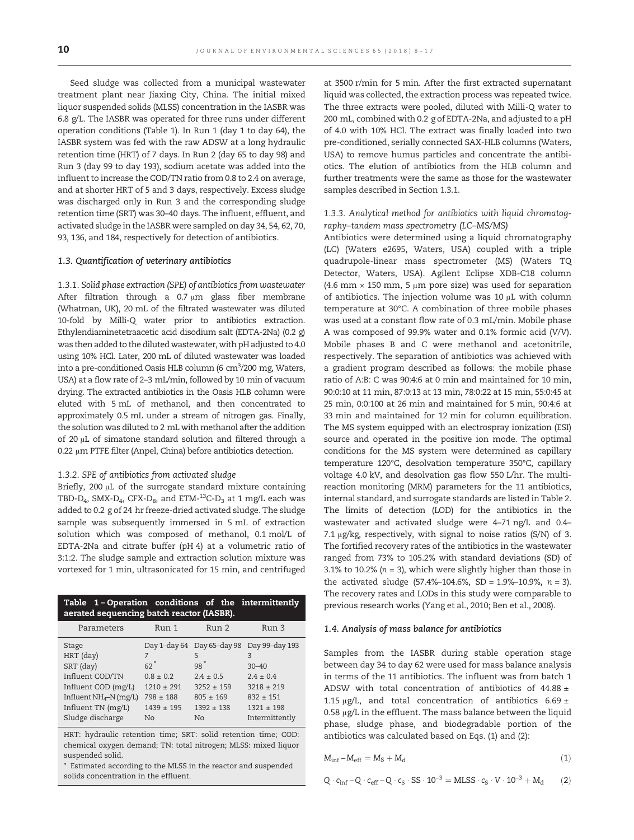Seed sludge was collected from a municipal wastewater treatment plant near Jiaxing City, China. The initial mixed liquor suspended solids (MLSS) concentration in the IASBR was 6.8 g/L. The IASBR was operated for three runs under different operation conditions (Table 1). In Run 1 (day 1 to day 64), the IASBR system was fed with the raw ADSW at a long hydraulic retention time (HRT) of 7 days. In Run 2 (day 65 to day 98) and Run 3 (day 99 to day 193), sodium acetate was added into the influent to increase the COD/TN ratio from 0.8 to 2.4 on average, and at shorter HRT of 5 and 3 days, respectively. Excess sludge was discharged only in Run 3 and the corresponding sludge retention time (SRT) was 30–40 days. The influent, effluent, and activated sludge in the IASBR were sampled on day 34, 54, 62, 70, 93, 136, and 184, respectively for detection of antibiotics.

#### 1.3. Quantification of veterinary antibiotics

1.3.1. Solid phase extraction (SPE) of antibiotics from wastewater After filtration through a  $0.7 \mu m$  glass fiber membrane (Whatman, UK), 20 mL of the filtrated wastewater was diluted 10-fold by Milli-Q water prior to antibiotics extraction. Ethylendiaminetetraacetic acid disodium salt (EDTA-2Na) (0.2 g) was then added to the diluted wastewater, with pH adjusted to 4.0 using 10% HCl. Later, 200 mL of diluted wastewater was loaded into a pre-conditioned Oasis HLB column (6  $\rm cm^3$ /200 mg, Waters, USA) at a flow rate of 2–3 mL/min, followed by 10 min of vacuum drying. The extracted antibiotics in the Oasis HLB column were eluted with 5 mL of methanol, and then concentrated to approximately 0.5 mL under a stream of nitrogen gas. Finally, the solution was diluted to 2 mL with methanol after the addition of 20 μL of simatone standard solution and filtered through a 0.22 μm PTFE filter (Anpel, China) before antibiotics detection.

#### 1.3.2. SPE of antibiotics from activated sludge

Briefly, 200 μL of the surrogate standard mixture containing TBD-D<sub>4</sub>, SMX-D<sub>4</sub>, CFX-D<sub>8</sub>, and ETM-<sup>13</sup>C-D<sub>3</sub> at 1 mg/L each was added to 0.2 g of 24 hr freeze-dried activated sludge. The sludge sample was subsequently immersed in 5 mL of extraction solution which was composed of methanol, 0.1 mol/L of EDTA-2Na and citrate buffer (pH 4) at a volumetric ratio of 3:1:2. The sludge sample and extraction solution mixture was vortexed for 1 min, ultrasonicated for 15 min, and centrifuged

| Table 1-Operation conditions of the intermittently<br>aerated sequencing batch reactor (IASBR).                                                 |                                                                                                            |                                                                                  |                                                                                                                                               |
|-------------------------------------------------------------------------------------------------------------------------------------------------|------------------------------------------------------------------------------------------------------------|----------------------------------------------------------------------------------|-----------------------------------------------------------------------------------------------------------------------------------------------|
| Parameters                                                                                                                                      | Run 1                                                                                                      | Run 2                                                                            | Run 3                                                                                                                                         |
| Stage<br>HRT (day)<br>SRT (day)<br>Influent COD/TN<br>Influent COD (mg/L)<br>Influent $NH_4-N$ (mg/L)<br>Influent TN (mg/L)<br>Sludge discharge | 7<br>$62$ <sup>*</sup><br>$0.8 \pm 0.2$<br>$1210 \pm 291$<br>$798 + 188$<br>$1439 + 195$<br>N <sub>o</sub> | 5<br>$98*$<br>$2.4 \pm 0.5$<br>$3252 + 159$<br>$805 + 169$<br>$1392 + 138$<br>No | Day 1-day 64 Day 65-day 98 Day 99-day 193<br>3<br>$30 - 40$<br>$2.4 \pm 0.4$<br>$3218 + 219$<br>$832 + 151$<br>$1321 + 198$<br>Intermittently |

HRT: hydraulic retention time; SRT: solid retention time; COD: chemical oxygen demand; TN: total nitrogen; MLSS: mixed liquor suspended solid.

⁎ Estimated according to the MLSS in the reactor and suspended solids concentration in the effluent.

at 3500 r/min for 5 min. After the first extracted supernatant liquid was collected, the extraction process was repeated twice. The three extracts were pooled, diluted with Milli-Q water to 200 mL, combined with 0.2 g of EDTA-2Na, and adjusted to a pH of 4.0 with 10% HCl. The extract was finally loaded into two pre-conditioned, serially connected SAX-HLB columns (Waters, USA) to remove humus particles and concentrate the antibiotics. The elution of antibiotics from the HLB column and further treatments were the same as those for the wastewater samples described in Section 1.3.1.

#### 1.3.3. Analytical method for antibiotics with liquid chromatography–tandem mass spectrometry (LC–MS/MS)

Antibiotics were determined using a liquid chromatography (LC) (Waters e2695, Waters, USA) coupled with a triple quadrupole-linear mass spectrometer (MS) (Waters TQ Detector, Waters, USA). Agilent Eclipse XDB-C18 column (4.6 mm  $\times$  150 mm, 5 µm pore size) was used for separation of antibiotics. The injection volume was 10 μL with column temperature at 30°C. A combination of three mobile phases was used at a constant flow rate of 0.3 mL/min. Mobile phase A was composed of 99.9% water and 0.1% formic acid (V/V). Mobile phases B and C were methanol and acetonitrile, respectively. The separation of antibiotics was achieved with a gradient program described as follows: the mobile phase ratio of A:B: C was 90:4:6 at 0 min and maintained for 10 min, 90:0:10 at 11 min, 87:0:13 at 13 min, 78:0:22 at 15 min, 55:0:45 at 25 min, 0:0:100 at 26 min and maintained for 5 min, 90:4:6 at 33 min and maintained for 12 min for column equilibration. The MS system equipped with an electrospray ionization (ESI) source and operated in the positive ion mode. The optimal conditions for the MS system were determined as capillary temperature 120°C, desolvation temperature 350°C, capillary voltage 4.0 kV, and desolvation gas flow 550 L/hr. The multireaction monitoring (MRM) parameters for the 11 antibiotics, internal standard, and surrogate standards are listed in Table 2. The limits of detection (LOD) for the antibiotics in the wastewater and activated sludge were 4–71 ng/L and 0.4– 7.1 μg/kg, respectively, with signal to noise ratios (S/N) of 3. The fortified recovery rates of the antibiotics in the wastewater ranged from 73% to 105.2% with standard deviations (SD) of 3.1% to 10.2% ( $n = 3$ ), which were slightly higher than those in the activated sludge  $(57.4\text{%-104.6\%}, SD = 1.9\text{%-10.9\%}, n = 3)$ . The recovery rates and LODs in this study were comparable to previous research works (Yang et al., 2010; Ben et al., 2008).

#### 1.4. Analysis of mass balance for antibiotics

Samples from the IASBR during stable operation stage between day 34 to day 62 were used for mass balance analysis in terms of the 11 antibiotics. The influent was from batch 1 ADSW with total concentration of antibiotics of  $44.88 \pm$ 1.15 μg/L, and total concentration of antibiotics  $6.69 \pm$ 0.58 μg/L in the effluent. The mass balance between the liquid phase, sludge phase, and biodegradable portion of the antibiotics was calculated based on Eqs. (1) and (2):

$$
M_{\rm inf} - M_{\rm eff} = M_{\rm S} + M_{\rm d} \tag{1}
$$

$$
Q \cdot c_{\inf} - Q \cdot c_{\text{eff}} - Q \cdot c_S \cdot SS \cdot 10^{-3} = MLSS \cdot c_S \cdot V \cdot 10^{-3} + M_d \tag{2}
$$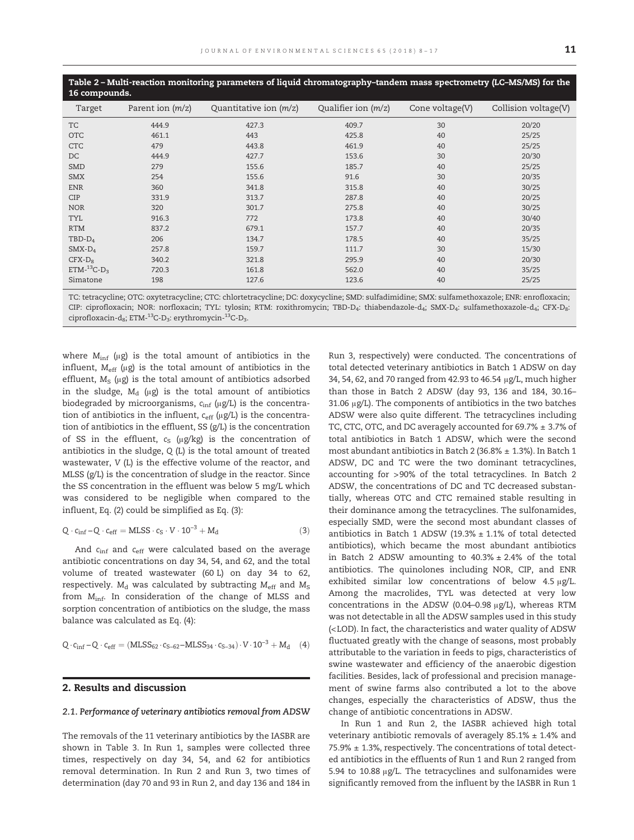| 16 compounds.                 |                    | Table 2 – Multi-reaction monitoring parameters of liquid chromatography–tandem mass spectrometry (LC–MS/MS) for the |                       |                 |                      |
|-------------------------------|--------------------|---------------------------------------------------------------------------------------------------------------------|-----------------------|-----------------|----------------------|
| Target                        | Parent ion $(m/z)$ | Quantitative ion $(m/z)$                                                                                            | Qualifier ion $(m/z)$ | Cone voltage(V) | Collision voltage(V) |
| <b>TC</b>                     | 444.9              | 427.3                                                                                                               | 409.7                 | 30              | 20/20                |
| <b>OTC</b>                    | 461.1              | 443                                                                                                                 | 425.8                 | 40              | 25/25                |
| <b>CTC</b>                    | 479                | 443.8                                                                                                               | 461.9                 | 40              | 25/25                |
| DC                            | 444.9              | 427.7                                                                                                               | 153.6                 | 30              | 20/30                |
| <b>SMD</b>                    | 279                | 155.6                                                                                                               | 185.7                 | 40              | 25/25                |
| <b>SMX</b>                    | 254                | 155.6                                                                                                               | 91.6                  | 30              | 20/35                |
| <b>ENR</b>                    | 360                | 341.8                                                                                                               | 315.8                 | 40              | 30/25                |
| <b>CIP</b>                    | 331.9              | 313.7                                                                                                               | 287.8                 | 40              | 20/25                |
| <b>NOR</b>                    | 320                | 301.7                                                                                                               | 275.8                 | 40              | 30/25                |
| <b>TYL</b>                    | 916.3              | 772                                                                                                                 | 173.8                 | 40              | 30/40                |
| <b>RTM</b>                    | 837.2              | 679.1                                                                                                               | 157.7                 | 40              | 20/35                |
| $TBD-D_4$                     | 206                | 134.7                                                                                                               | 178.5                 | 40              | 35/25                |
| $SMX-D_4$                     | 257.8              | 159.7                                                                                                               | 111.7                 | 30              | 15/30                |
| $CFX-D_8$                     | 340.2              | 321.8                                                                                                               | 295.9                 | 40              | 20/30                |
| ETM- $^{13}$ C-D <sub>3</sub> | 720.3              | 161.8                                                                                                               | 562.0                 | 40              | 35/25                |
| Simatone                      | 198                | 127.6                                                                                                               | 123.6                 | 40              | 25/25                |

TC: tetracycline; OTC: oxytetracycline; CTC: chlortetracycline; DC: doxycycline; SMD: sulfadimidine; SMX: sulfamethoxazole; ENR: enrofloxacin; CIP: ciprofloxacin; NOR: norfloxacin; TYL: tylosin; RTM: roxithromycin; TBD-D<sub>4</sub>: thiabendazole-d<sub>4</sub>; SMX-D<sub>4</sub>: sulfamethoxazole-d<sub>4</sub>; CFX-D<sub>8</sub>: ciprofloxacin-d<sub>8</sub>; ETM-<sup>13</sup>C-D<sub>3</sub>: erythromycin-<sup>13</sup>C-D<sub>3</sub>.

where  $M_{\text{inf}}$  (μg) is the total amount of antibiotics in the influent,  $M_{\text{eff}}$  (μg) is the total amount of antibiotics in the effluent,  $M_S$  (μg) is the total amount of antibiotics adsorbed in the sludge,  $M_d$  (μg) is the total amount of antibiotics biodegraded by microorganisms,  $c_{\text{inf}}$  ( $\mu$ g/L) is the concentration of antibiotics in the influent,  $c_{\text{eff}}$  ( $\mu$ g/L) is the concentration of antibiotics in the effluent, SS (g/L) is the concentration of SS in the effluent,  $c_S$  (μg/kg) is the concentration of antibiotics in the sludge, Q (L) is the total amount of treated wastewater, V (L) is the effective volume of the reactor, and MLSS (g/L) is the concentration of sludge in the reactor. Since the SS concentration in the effluent was below 5 mg/L which was considered to be negligible when compared to the influent, Eq. (2) could be simplified as Eq. (3):

$$
Q \cdot c_{\inf} - Q \cdot c_{\text{eff}} = MLSS \cdot c_S \cdot V \cdot 10^{-3} + M_d \tag{3}
$$

And  $c_{\text{inf}}$  and  $c_{\text{eff}}$  were calculated based on the average antibiotic concentrations on day 34, 54, and 62, and the total volume of treated wastewater (60 L) on day 34 to 62, respectively.  $M_d$  was calculated by subtracting  $M_{eff}$  and  $M_S$ from  $M_{\text{inf}}$ . In consideration of the change of MLSS and sorption concentration of antibiotics on the sludge, the mass balance was calculated as Eq. (4):

$$
Q \cdot c_{\inf} - Q \cdot c_{\text{eff}} = (M L S S_{62} \cdot c_{S-62} - M L S S_{34} \cdot c_{S-34}) \cdot V \cdot 10^{-3} + M_d \quad (4)
$$

#### 2. Results and discussion

#### 2.1. Performance of veterinary antibiotics removal from ADSW

The removals of the 11 veterinary antibiotics by the IASBR are shown in Table 3. In Run 1, samples were collected three times, respectively on day 34, 54, and 62 for antibiotics removal determination. In Run 2 and Run 3, two times of determination (day 70 and 93 in Run 2, and day 136 and 184 in Run 3, respectively) were conducted. The concentrations of total detected veterinary antibiotics in Batch 1 ADSW on day 34, 54, 62, and 70 ranged from 42.93 to 46.54 μg/L, much higher than those in Batch 2 ADSW (day 93, 136 and 184, 30.16– 31.06 μg/L). The components of antibiotics in the two batches ADSW were also quite different. The tetracyclines including TC, CTC, OTC, and DC averagely accounted for 69.7% ± 3.7% of total antibiotics in Batch 1 ADSW, which were the second most abundant antibiotics in Batch 2 (36.8% ± 1.3%). In Batch 1 ADSW, DC and TC were the two dominant tetracyclines, accounting for >90% of the total tetracyclines. In Batch 2 ADSW, the concentrations of DC and TC decreased substantially, whereas OTC and CTC remained stable resulting in their dominance among the tetracyclines. The sulfonamides, especially SMD, were the second most abundant classes of antibiotics in Batch 1 ADSW (19.3%  $\pm$  1.1% of total detected antibiotics), which became the most abundant antibiotics in Batch 2 ADSW amounting to  $40.3% \pm 2.4%$  of the total antibiotics. The quinolones including NOR, CIP, and ENR exhibited similar low concentrations of below 4.5 μg/L. Among the macrolides, TYL was detected at very low concentrations in the ADSW (0.04–0.98 μg/L), whereas RTM was not detectable in all the ADSW samples used in this study (<LOD). In fact, the characteristics and water quality of ADSW fluctuated greatly with the change of seasons, most probably attributable to the variation in feeds to pigs, characteristics of swine wastewater and efficiency of the anaerobic digestion facilities. Besides, lack of professional and precision management of swine farms also contributed a lot to the above changes, especially the characteristics of ADSW, thus the change of antibiotic concentrations in ADSW.

In Run 1 and Run 2, the IASBR achieved high total veterinary antibiotic removals of averagely  $85.1\% \pm 1.4\%$  and 75.9% ± 1.3%, respectively. The concentrations of total detected antibiotics in the effluents of Run 1 and Run 2 ranged from 5.94 to 10.88 μg/L. The tetracyclines and sulfonamides were significantly removed from the influent by the IASBR in Run 1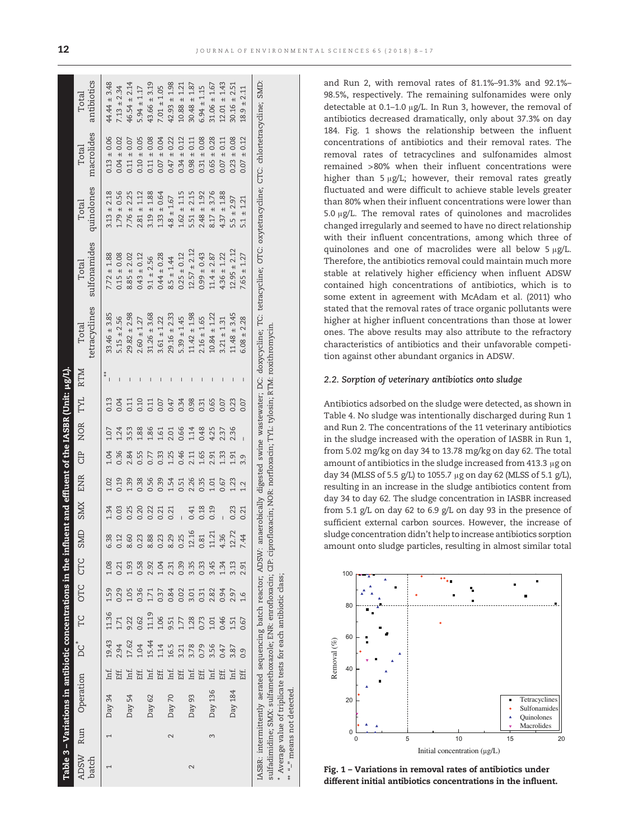|                      |                   | Table 3 – Variations in antibiotic concentrations in the influe |      |           |       |               |      |                      | ent and effluent of the IASBR (Unit: µg/L). |      |       |          |      |                          |                        |                                                                                                                                                                                              |                     |                     |                      |
|----------------------|-------------------|-----------------------------------------------------------------|------|-----------|-------|---------------|------|----------------------|---------------------------------------------|------|-------|----------|------|--------------------------|------------------------|----------------------------------------------------------------------------------------------------------------------------------------------------------------------------------------------|---------------------|---------------------|----------------------|
| <b>ADSW</b><br>batch | Run               | Operation                                                       |      | <b>DC</b> | Ľ     | OTC           | CTC  | $\Box$<br><b>INS</b> | <b>SMX</b>                                  | ENR  | CIP   | NOR<br>X | TYL  | <b>RTM</b>               | tetracyclines<br>Total | sulfonamides<br>Total                                                                                                                                                                        | quinolones<br>Total | macrolides<br>Total | antibiotics<br>Total |
|                      |                   | Day 34                                                          | Inf. | 19.43     | 11.36 | 1.59          | 1.08 | 6.38                 |                                             | 1.02 | 1.04  | 1.07     | 0.13 |                          | $33.46 \pm 3.85$       | $7.72 \pm 1.88$                                                                                                                                                                              | $3.13 \pm 2.18$     | $0.13 \pm 0.06$     | $44.44 \pm 3.48$     |
|                      |                   |                                                                 | Eff. | 2.94      | 1.71  | 0.29          | 0.21 | 0.12                 | 0.03                                        | 0.19 | 0.36  | 1.24     | D.04 |                          | $5.15 \pm 2.56$        | $0.15 \pm 0.08$                                                                                                                                                                              | $1.79 \pm 0.56$     | $0.04 \pm 0.02$     | $7.13 \pm 2.34$      |
|                      |                   | Day 54                                                          | Inf. | 17.62     | 9.22  | 1.05          | 1.93 | 8.60                 | 0.25                                        | L39  | 2.84  | 3.53     | 0.11 |                          | $29.82 \pm 2.98$       | $8.85 \pm 2.02$                                                                                                                                                                              | $7.76 \pm 2.25$     | $0.11 \pm 0.07$     | $46.54 \pm 2.14$     |
|                      |                   |                                                                 | Eff. | 1.04      | 0.62  | 0.36          | 0.58 | 0.23                 | 0.20                                        | 0.38 | 0.55  | 1.88     | 0.10 | I                        | $2.60 \pm 1.27$        | $0.43 \pm 0.12$                                                                                                                                                                              | $2.81 \pm 1.12$     | $0.10 \pm 0.05$     | $5.94 \pm 1.17$      |
|                      |                   | Day 62                                                          | Inf. | 15.44     | 11.19 | 1.71          | 2.92 | 8.88                 | 0.22                                        | 0.56 | 0.77  | 1.86     | 0.11 |                          | $31.26 \pm 3.68$       | $9.1 \pm 2.56$                                                                                                                                                                               | $3.19 \pm 1.88$     | $0.11 \pm 0.08$     | $43.66 \pm 3.19$     |
|                      |                   |                                                                 | Eff. | 1.14      | 1.06  | 0.37          | 1.04 | 0.23                 | 0.21                                        | 0.39 | 0.33  | 1.61     | 0.07 | $\overline{1}$           | $3.61 \pm 1.22$        | $0.44 \pm 0.28$                                                                                                                                                                              | $1.33 \pm 0.64$     | $0.07 \pm 0.04$     | $7.01 \pm 1.05$      |
|                      | $\mathbf{\Omega}$ | Day 70                                                          | Inf. | 16.5      | 9.51  | 0.84          | 2.31 | 8.29                 | 0.21                                        | 1.54 | 1.25  | 2.01     | 0.47 | I                        | $29.16 \pm 2.33$       | $8.5 \pm 1.44$                                                                                                                                                                               | $4.8 \pm 1.67$      | $0.47 \pm 0.22$     | $42.93 \pm 1.98$     |
|                      |                   |                                                                 | Eff. | 3.21      | 1.77  | 0.02          | 0.39 | 0.25                 |                                             | 0.51 | 0.46  | 0.66     | 0.34 | $\overline{1}$           | $5.39 \pm 1.45$        | $0.25 \pm 0.12$                                                                                                                                                                              | $1.62 \pm 1.15$     | $0.34 \pm 0.12$     | $10.88 \pm 1.21$     |
| $\sim$               |                   | Day 93                                                          | Inf. | 3.78      | 1.28  | 3.01          | 3.35 | 12.16                | 0.41                                        | 2.26 | 2.11  | 1.14     | 0.98 | $\overline{1}$           | $11.42 \pm 1.98$       | $12.57 \pm 2.12$                                                                                                                                                                             | $5.51 \pm 2.15$     | $0.98 \pm 0.11$     | $30.48 \pm 1.87$     |
|                      |                   |                                                                 | Eff. | 0.79      | 0.73  | 0.31          | 0.33 | 0.81                 | 0.18                                        | 0.35 | 1.65  | 0.48     | 0.31 | $\overline{\phantom{a}}$ | $2.16 \pm 1.65$        | $0.99 \pm 0.43$                                                                                                                                                                              | $2.48 \pm 1.92$     | $0.31 \pm 0.08$     | $6.94 \pm 1.15$      |
|                      | 3                 | Day 136                                                         | Inf. | 3.56      | 1.01  | 2.82          | 3.45 | 11.21                | 0.19                                        | 1.01 | 2.91  | 4.25     | 0.65 | I                        | $10.84 \pm 1.22$       | $11.4 \pm 2.87$                                                                                                                                                                              | $8.17 \pm 3.76$     | $0.65 \pm 0.28$     | $31.06 \pm 1.67$     |
|                      |                   |                                                                 | Eff. | 0.47      | 0.46  | 0.94          | 1.34 | 4.36                 |                                             | 0.67 | 1.33  | 2.37     | 0.07 | I                        | $3.21 \pm 1.31$        | $4.36 \pm 1.22$                                                                                                                                                                              | $4.37 \pm 1.88$     | $0.07 \pm 0.11$     | $12.01 \pm 1.43$     |
|                      |                   | Day 184                                                         | Inf. | 3.87      | 1.51  | 2.97          | 3.13 | Ņ<br>12.7            | 0.23                                        | 1.23 | $-91$ | 2.36     | 0.23 | $\mathbf{I}$             | $11.48 \pm 3.45$       | $12.95 \pm 2.12$                                                                                                                                                                             | $5.5 \pm 2.97$      | $0.23 \pm 0.08$     | $30.16 \pm 2.51$     |
|                      |                   |                                                                 | Eff. | 0.9       | 0.67  | $\frac{6}{1}$ | 2.91 | 7.44                 | 0.21                                        | 1.2  | 9.9   |          | 0.07 |                          | $6.08 \pm 2.28$        | $7.65 \pm 1.27$                                                                                                                                                                              | $5.1 \pm 1.21$      | $0.07 \pm 0.12$     | $18.9 \pm 2.11$      |
|                      |                   |                                                                 |      |           |       |               |      |                      |                                             |      |       |          |      |                          |                        | IASBR: intermittently aerated sequencing batch reactor; ADSW: anaerobically digested swine wastewater; DC: doxycycline; TC: tetracycline; OTC: oxytetracycline; CTC: chlortetracycline; SMD: |                     |                     |                      |

sulfadimidine; SMX: sulfamethoxazole; ENR: enrofloxacin; CIP: ciprofloxacin; NOR: norfloxacin; TYL: tylosin; RTM: roxithromycin.

sulfadimidine; SMX: sulfamethoxazole; ENR: enrofloxacin; CIP: ciprofloxacin; NOR: norfloxacin; TYL: tylosin; RTM: roxithromycin.

⁎

Average value of triplicate tests for each antibiotic class;

Average value of triplicate tests for each antibiotic class;

 $^{\ast\ast}$   $^{\prime\prime}$  -" means not detected.

 $\frac{1}{2}$ 

"-" means not detected.

and Run 2, with removal rates of 81.1%–91.3% and 92.1%– 98.5%, respectively. The remaining sulfonamides were only detectable at 0.1–1.0 μg/L. In Run 3, however, the removal of antibiotics decreased dramatically, only about 37.3% on day 184. Fig. 1 shows the relationship between the influent concentrations of antibiotics and their removal rates. The removal rates of tetracyclines and sulfonamides almost remained >80% when their influent concentrations were higher than 5 μg/L; however, their removal rates greatly fluctuated and were difficult to achieve stable levels greater than 80% when their influent concentrations were lower than 5.0 μg/L. The removal rates of quinolones and macrolides changed irregularly and seemed to have no direct relationship with their influent concentrations, among which three of quinolones and one of macrolides were all below 5 μg/L. Therefore, the antibiotics removal could maintain much more stable at relatively higher efficiency when influent ADSW contained high concentrations of antibiotics, which is to some extent in agreement with McAdam et al. (2011) who stated that the removal rates of trace organic pollutants were higher at higher influent concentrations than those at lower ones. The above results may also attribute to the refractory characteristics of antibiotics and their unfavorable competition against other abundant organics in ADSW.

#### 2.2. Sorption of veterinary antibiotics onto sludge

Antibiotics adsorbed on the sludge were detected, as shown in Table 4. No sludge was intentionally discharged during Run 1 and Run 2. The concentrations of the 11 veterinary antibiotics in the sludge increased with the operation of IASBR in Run 1, from 5.02 mg/kg on day 34 to 13.78 mg/kg on day 62. The total amount of antibiotics in the sludge increased from 413.3 μg on day 34 (MLSS of 5.5 g/L) to 1055.7 μg on day 62 (MLSS of 5.1 g/L), resulting in an increase in the sludge antibiotics content from day 34 to day 62. The sludge concentration in IASBR increased from 5.1 g/L on day 62 to 6.9 g/L on day 93 in the presence of sufficient external carbon sources. However, the increase of sludge concentration didn't help to increase antibiotics sorption amount onto sludge particles, resulting in almost similar total



Fig. 1 – Variations in removal rates of antibiotics under different initial antibiotics concentrations in the influent.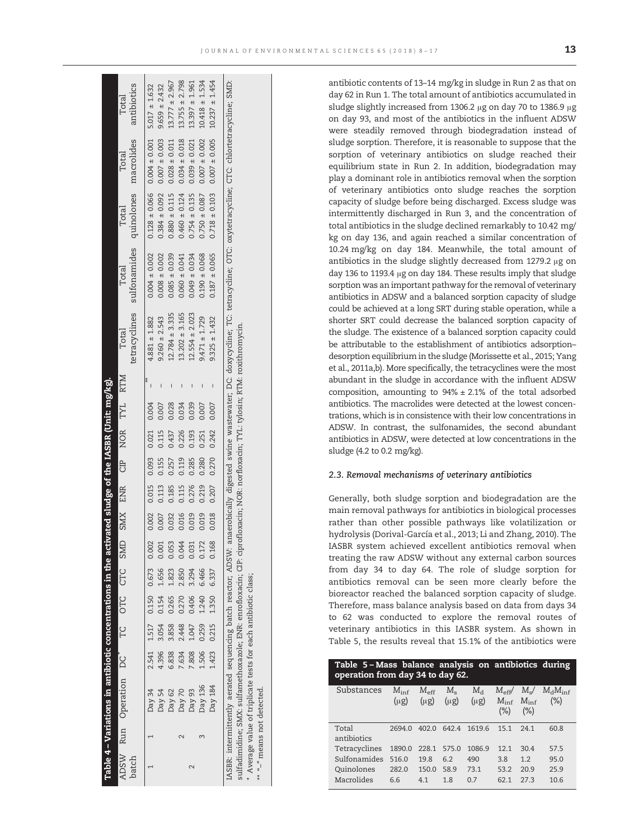|       | Table 4 – Variations in antibiotic concentrations in the activated sludge of the IASBR (Unit: mg/kg).                            |       |                               |             |       |             |       |         |       |                                         |                 |                    |                                                                                                                                                                                                   |                   |                                                        |                      |
|-------|----------------------------------------------------------------------------------------------------------------------------------|-------|-------------------------------|-------------|-------|-------------|-------|---------|-------|-----------------------------------------|-----------------|--------------------|---------------------------------------------------------------------------------------------------------------------------------------------------------------------------------------------------|-------------------|--------------------------------------------------------|----------------------|
| batch | ADSW Run Operation DC <sup>*</sup> TC OTC CTC                                                                                    |       |                               |             |       | SMD         |       | SMX ENR |       |                                         | CIP NOR TYL RTM | Total              | tetracyclines sulfonamides quinolones macrolides<br>Total                                                                                                                                         | Total             | Total                                                  | antibiotics<br>Total |
|       |                                                                                                                                  |       |                               |             |       |             |       |         |       |                                         |                 |                    |                                                                                                                                                                                                   |                   |                                                        |                      |
|       | Day 34                                                                                                                           |       | 2.541 1.517 0.150 0.673 0.002 |             |       |             |       |         |       | $0.002$ $0.015$ $0.093$ $0.021$ $0.004$ |                 | $4.881 \pm 1.882$  | $0.004 \pm 0.002$                                                                                                                                                                                 |                   | $0.128 \pm 0.066$ 0.004 $\pm$ 0.001  5.017 $\pm$ 1.632 |                      |
|       | Day 54                                                                                                                           | 4.396 | 3.054                         | 0.154       |       | 1.656 0.001 | 0.007 | 0.113   |       | 0.155 0.115                             | 0.007           | $9.260 \pm 2.543$  | $0.008 \pm 0.002$                                                                                                                                                                                 |                   | $0.384 \pm 0.092$ 0.007 $\pm$ 0.003                    | $9.659 \pm 2.432$    |
|       | Day 62                                                                                                                           | 6.838 | 3.858                         | 0.265       | 1.823 | 0.053       | 0.032 | 0.185   | 0.257 | 0.437                                   | 0.028           | $12.784 \pm 3.335$ | $0.085 \pm 0.039$                                                                                                                                                                                 | $0.880 \pm 0.115$ | $0.028 \pm 0.011$                                      | $13.777 \pm 2.967$   |
|       | Day 70                                                                                                                           | 7.634 | 2.448                         | 0.270       | 2.850 | 0.044       | 0.016 | 0.115   | 0.119 | 0.226                                   | 0.034           | $13.202 \pm 3.165$ | $0.060 \pm 0.041$                                                                                                                                                                                 | $0.460 \pm 0.124$ | $0.034 \pm 0.018$                                      | $13.755 \pm 2.798$   |
|       | Day 93                                                                                                                           | 7.808 | 1.047                         | 0.406       | 3.294 | 0.031       | 0.019 | 0.276   | 0.285 | 0.193                                   | 0.039           | $12.554 \pm 2.023$ | $0.049 \pm 0.034$                                                                                                                                                                                 | $0.754 \pm 0.135$ | $0.039 \pm 0.021$                                      | $13.397 \pm 1.961$   |
|       | Day 136                                                                                                                          | 1.506 |                               | 0.259 1.240 | 6.466 | 0.172       | 0.019 | 0.219   | 0.280 | 0.251                                   | 0.007           | $9.471 \pm 1.729$  | $0.190 \pm 0.068$                                                                                                                                                                                 | $0.750 \pm 0.087$ | $0.007 \pm 0.002$                                      | $10.418 \pm 1.534$   |
|       | Day 184                                                                                                                          |       | 1.423 0.215 1.350             |             | 6.337 | 0.168       | 0.018 | 0.207   |       | 0.270 0.242                             | 0.007           | $9.325 \pm 1.432$  | $0.187 \pm 0.065$                                                                                                                                                                                 | $0.718 \pm 0.103$ | $0.007 \pm 0.005$                                      | $10.237 \pm 1.454$   |
|       |                                                                                                                                  |       |                               |             |       |             |       |         |       |                                         |                 |                    | ASBR: intermittently aerated sequencing batch reactor; ADSW: anaerobically digested swine wastewater; DC: doxycycline; OC: coxycetracycline; OTC: chlortetracycline; CTC: chlortetracycline; SMD: |                   |                                                        |                      |
|       | sulfadimidine; SMX: sulfamethoxazole; ENR: enrofloxacin; CIP: ciprofloxacin; NOR: norfloxacin; TYL: tylosin; RTM: roxithromycin. |       |                               |             |       |             |       |         |       |                                         |                 |                    |                                                                                                                                                                                                   |                   |                                                        |                      |
|       | Average value of triplicate tests for each antibiotic class;                                                                     |       |                               |             |       |             |       |         |       |                                         |                 |                    |                                                                                                                                                                                                   |                   |                                                        |                      |

⁎⁎ "–" means not detected.

 $\frac{1}{n-1}$ 

means not detected.

antibiotic contents of 13–14 mg/kg in sludge in Run 2 as that on day 62 in Run 1. The total amount of antibiotics accumulated in sludge slightly increased from 1306.2 μg on day 70 to 1386.9 μg on day 93, and most of the antibiotics in the influent ADSW were steadily removed through biodegradation instead of sludge sorption. Therefore, it is reasonable to suppose that the sorption of veterinary antibiotics on sludge reached their equilibrium state in Run 2. In addition, biodegradation may play a dominant role in antibiotics removal when the sorption of veterinary antibiotics onto sludge reaches the sorption capacity of sludge before being discharged. Excess sludge was intermittently discharged in Run 3, and the concentration of total antibiotics in the sludge declined remarkably to 10.42 mg/ kg on day 136, and again reached a similar concentration of 10.24 mg/kg on day 184. Meanwhile, the total amount of antibiotics in the sludge slightly decreased from 1279.2 μg on day 136 to 1193.4 μg on day 184. These results imply that sludge sorption was an important pathway for the removal of veterinary antibiotics in ADSW and a balanced sorption capacity of sludge could be achieved at a long SRT during stable operation, while a shorter SRT could decrease the balanced sorption capacity of the sludge. The existence of a balanced sorption capacity could be attributable to the establishment of antibiotics adsorption– desorption equilibrium in the sludge (Morissette et al., 2015; Yang et al., 2011a,b). More specifically, the tetracyclines were the most abundant in the sludge in accordance with the influent ADSW composition, amounting to  $94\% \pm 2.1\%$  of the total adsorbed antibiotics. The macrolides were detected at the lowest concentrations, which is in consistence with their low concentrations in ADSW. In contrast, the sulfonamides, the second abundant antibiotics in ADSW, were detected at low concentrations in the sludge (4.2 to 0.2 mg/kg).

#### 2.3. Removal mechanisms of veterinary antibiotics

Generally, both sludge sorption and biodegradation are the main removal pathways for antibiotics in biological processes rather than other possible pathways like volatilization or hydrolysis (Dorival-García et al., 2013; Li and Zhang, 2010). The IASBR system achieved excellent antibiotics removal when treating the raw ADSW without any external carbon sources from day 34 to day 64. The role of sludge sorption for antibiotics removal can be seen more clearly before the bioreactor reached the balanced sorption capacity of sludge. Therefore, mass balance analysis based on data from days 34 to 62 was conducted to explore the removal routes of veterinary antibiotics in this IASBR system. As shown in Table 5, the results reveal that 15.1% of the antibiotics were

| Table 5 – Mass balance analysis on antibiotics during<br>operation from day 34 to day 62. |                            |                            |                          |                    |                                           |                                         |                        |
|-------------------------------------------------------------------------------------------|----------------------------|----------------------------|--------------------------|--------------------|-------------------------------------------|-----------------------------------------|------------------------|
| Substances                                                                                | $M_{\rm inf}$<br>$(\mu g)$ | $M_{\rm eff}$<br>$(\mu g)$ | $M_{\rm c}$<br>$(\mu g)$ | $M_A$<br>$(\mu g)$ | $M_{\rm eff}/$<br>$M_{\rm inf}$<br>$(\%)$ | $M_{\rm s}/$<br>$M_{\rm inf}$<br>$(\%)$ | $M_dM_{inf}$<br>$(\%)$ |
| Total<br>antibiotics                                                                      | 26940                      | 4020                       | 6424                     | 1619.6             | 151                                       | 241                                     | 60.8                   |
| Tetracyclines                                                                             | 1890.0                     | 228.1                      | 575.0                    | 1086.9             | 121                                       | 30.4                                    | 57.5                   |
| Sulfonamides                                                                              | 5160                       | 198                        | 6.2                      | 490                | 3.8                                       | 12                                      | 95.0                   |
| Quinolones                                                                                | 282.0                      | 150.0                      | 58.9                     | 73.1               | 53.2                                      | 20.9                                    | 259                    |
| Macrolides                                                                                | 6.6                        | 41                         | 1.8                      | 07                 | 621                                       | 273                                     | 106                    |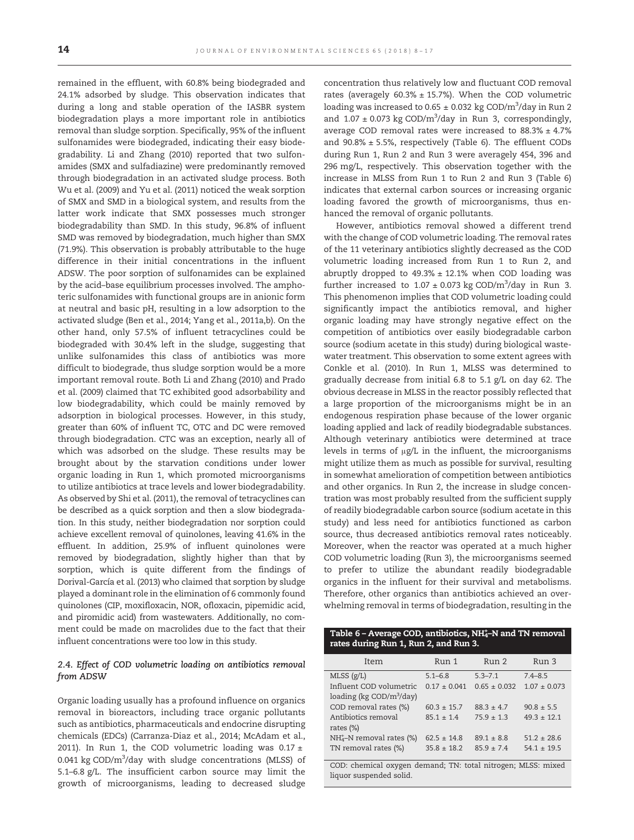remained in the effluent, with 60.8% being biodegraded and 24.1% adsorbed by sludge. This observation indicates that during a long and stable operation of the IASBR system biodegradation plays a more important role in antibiotics removal than sludge sorption. Specifically, 95% of the influent sulfonamides were biodegraded, indicating their easy biodegradability. Li and Zhang (2010) reported that two sulfonamides (SMX and sulfadiazine) were predominantly removed through biodegradation in an activated sludge process. Both Wu et al. (2009) and Yu et al. (2011) noticed the weak sorption of SMX and SMD in a biological system, and results from the latter work indicate that SMX possesses much stronger biodegradability than SMD. In this study, 96.8% of influent SMD was removed by biodegradation, much higher than SMX (71.9%). This observation is probably attributable to the huge difference in their initial concentrations in the influent ADSW. The poor sorption of sulfonamides can be explained by the acid–base equilibrium processes involved. The amphoteric sulfonamides with functional groups are in anionic form at neutral and basic pH, resulting in a low adsorption to the activated sludge (Ben et al., 2014; Yang et al., 2011a,b). On the other hand, only 57.5% of influent tetracyclines could be biodegraded with 30.4% left in the sludge, suggesting that unlike sulfonamides this class of antibiotics was more difficult to biodegrade, thus sludge sorption would be a more important removal route. Both Li and Zhang (2010) and Prado et al. (2009) claimed that TC exhibited good adsorbability and low biodegradability, which could be mainly removed by adsorption in biological processes. However, in this study, greater than 60% of influent TC, OTC and DC were removed through biodegradation. CTC was an exception, nearly all of which was adsorbed on the sludge. These results may be brought about by the starvation conditions under lower organic loading in Run 1, which promoted microorganisms to utilize antibiotics at trace levels and lower biodegradability. As observed by Shi et al. (2011), the removal of tetracyclines can be described as a quick sorption and then a slow biodegradation. In this study, neither biodegradation nor sorption could achieve excellent removal of quinolones, leaving 41.6% in the effluent. In addition, 25.9% of influent quinolones were removed by biodegradation, slightly higher than that by sorption, which is quite different from the findings of Dorival-García et al. (2013) who claimed that sorption by sludge played a dominant role in the elimination of 6 commonly found quinolones (CIP, moxifloxacin, NOR, ofloxacin, pipemidic acid, and piromidic acid) from wastewaters. Additionally, no comment could be made on macrolides due to the fact that their influent concentrations were too low in this study.

#### 2.4. Effect of COD volumetric loading on antibiotics removal from ADSW

Organic loading usually has a profound influence on organics removal in bioreactors, including trace organic pollutants such as antibiotics, pharmaceuticals and endocrine disrupting chemicals (EDCs) (Carranza-Diaz et al., 2014; McAdam et al., 2011). In Run 1, the COD volumetric loading was  $0.17 \pm$ 0.041 kg COD/m<sup>3</sup>/day with sludge concentrations (MLSS) of 5.1–6.8 g/L. The insufficient carbon source may limit the growth of microorganisms, leading to decreased sludge

concentration thus relatively low and fluctuant COD removal rates (averagely  $60.3\% \pm 15.7\%$ ). When the COD volumetric loading was increased to 0.65  $\pm$  0.032 kg COD/m $^3$ /day in Run 2 and  $1.07 \pm 0.073$  kg COD/m<sup>3</sup>/day in Run 3, correspondingly, average COD removal rates were increased to  $88.3\% \pm 4.7\%$ and  $90.8\% \pm 5.5\%$ , respectively (Table 6). The effluent CODs during Run 1, Run 2 and Run 3 were averagely 454, 396 and 296 mg/L, respectively. This observation together with the increase in MLSS from Run 1 to Run 2 and Run 3 (Table 6) indicates that external carbon sources or increasing organic loading favored the growth of microorganisms, thus enhanced the removal of organic pollutants.

However, antibiotics removal showed a different trend with the change of COD volumetric loading. The removal rates of the 11 veterinary antibiotics slightly decreased as the COD volumetric loading increased from Run 1 to Run 2, and abruptly dropped to  $49.3\% \pm 12.1\%$  when COD loading was further increased to  $1.07 \pm 0.073$  kg COD/m<sup>3</sup>/day in Run 3. This phenomenon implies that COD volumetric loading could significantly impact the antibiotics removal, and higher organic loading may have strongly negative effect on the competition of antibiotics over easily biodegradable carbon source (sodium acetate in this study) during biological wastewater treatment. This observation to some extent agrees with Conkle et al. (2010). In Run 1, MLSS was determined to gradually decrease from initial 6.8 to 5.1 g/L on day 62. The obvious decrease in MLSS in the reactor possibly reflected that a large proportion of the microorganisms might be in an endogenous respiration phase because of the lower organic loading applied and lack of readily biodegradable substances. Although veterinary antibiotics were determined at trace levels in terms of μg/L in the influent, the microorganisms might utilize them as much as possible for survival, resulting in somewhat amelioration of competition between antibiotics and other organics. In Run 2, the increase in sludge concentration was most probably resulted from the sufficient supply of readily biodegradable carbon source (sodium acetate in this study) and less need for antibiotics functioned as carbon source, thus decreased antibiotics removal rates noticeably. Moreover, when the reactor was operated at a much higher COD volumetric loading (Run 3), the microorganisms seemed to prefer to utilize the abundant readily biodegradable organics in the influent for their survival and metabolisms. Therefore, other organics than antibiotics achieved an overwhelming removal in terms of biodegradation, resulting in the

| rates during Run 1, Run 2, and Run 3.                        |                  |                  |                  |
|--------------------------------------------------------------|------------------|------------------|------------------|
| Item                                                         | Run 1            | Run 2            | Run 3            |
| MLSS(g/L)                                                    | $5.1 - 6.8$      | $5.3 - 7.1$      | $7.4 - 8.5$      |
| Influent COD volumetric                                      | $0.17 \pm 0.041$ | $0.65 \pm 0.032$ | $1.07 \pm 0.073$ |
| loading ( $kg$ COD/ $m^3$ /day)                              |                  |                  |                  |
| COD removal rates (%)                                        | $60.3 \pm 15.7$  | $88.3 \pm 4.7$   | $90.8 \pm 5.5$   |
| Antibiotics removal                                          | $85.1 \pm 1.4$   | $75.9 \pm 1.3$   | $49.3 \pm 12.1$  |
| rates $(\%)$                                                 |                  |                  |                  |
| $NH4–N$ removal rates (%)                                    | $62.5 \pm 14.8$  | $89.1 \pm 8.8$   | $51.2 + 28.6$    |
| TN removal rates (%)                                         | $35.8 \pm 18.2$  | $85.9 \pm 7.4$   | $54.1 \pm 19.5$  |
|                                                              |                  |                  |                  |
| COD: chemical oxygen demand; TN: total nitrogen; MLSS: mixed |                  |                  |                  |
| liquor suspended solid.                                      |                  |                  |                  |

Table  $6$  – Average COD, antibiotics, NH $_4^\mathrm{+}$ -N and TN removal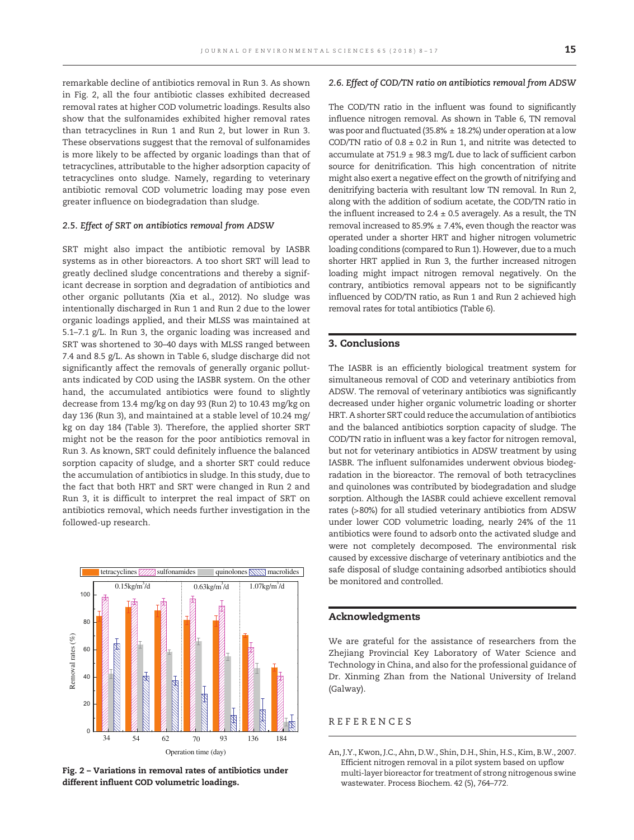remarkable decline of antibiotics removal in Run 3. As shown in Fig. 2, all the four antibiotic classes exhibited decreased removal rates at higher COD volumetric loadings. Results also show that the sulfonamides exhibited higher removal rates than tetracyclines in Run 1 and Run 2, but lower in Run 3. These observations suggest that the removal of sulfonamides is more likely to be affected by organic loadings than that of tetracyclines, attributable to the higher adsorption capacity of tetracyclines onto sludge. Namely, regarding to veterinary antibiotic removal COD volumetric loading may pose even greater influence on biodegradation than sludge.

#### 2.5. Effect of SRT on antibiotics removal from ADSW

SRT might also impact the antibiotic removal by IASBR systems as in other bioreactors. A too short SRT will lead to greatly declined sludge concentrations and thereby a significant decrease in sorption and degradation of antibiotics and other organic pollutants (Xia et al., 2012). No sludge was intentionally discharged in Run 1 and Run 2 due to the lower organic loadings applied, and their MLSS was maintained at 5.1–7.1 g/L. In Run 3, the organic loading was increased and SRT was shortened to 30–40 days with MLSS ranged between 7.4 and 8.5 g/L. As shown in Table 6, sludge discharge did not significantly affect the removals of generally organic pollutants indicated by COD using the IASBR system. On the other hand, the accumulated antibiotics were found to slightly decrease from 13.4 mg/kg on day 93 (Run 2) to 10.43 mg/kg on day 136 (Run 3), and maintained at a stable level of 10.24 mg/ kg on day 184 (Table 3). Therefore, the applied shorter SRT might not be the reason for the poor antibiotics removal in Run 3. As known, SRT could definitely influence the balanced sorption capacity of sludge, and a shorter SRT could reduce the accumulation of antibiotics in sludge. In this study, due to the fact that both HRT and SRT were changed in Run 2 and Run 3, it is difficult to interpret the real impact of SRT on antibiotics removal, which needs further investigation in the followed-up research.



Fig. 2 – Variations in removal rates of antibiotics under different influent COD volumetric loadings.

#### 2.6. Effect of COD/TN ratio on antibiotics removal from ADSW

The COD/TN ratio in the influent was found to significantly influence nitrogen removal. As shown in Table 6, TN removal was poor and fluctuated (35.8%  $\pm$  18.2%) under operation at a low COD/TN ratio of  $0.8 \pm 0.2$  in Run 1, and nitrite was detected to accumulate at 751.9  $\pm$  98.3 mg/L due to lack of sufficient carbon source for denitrification. This high concentration of nitrite might also exert a negative effect on the growth of nitrifying and denitrifying bacteria with resultant low TN removal. In Run 2, along with the addition of sodium acetate, the COD/TN ratio in the influent increased to  $2.4 \pm 0.5$  averagely. As a result, the TN removal increased to 85.9%  $\pm$  7.4%, even though the reactor was operated under a shorter HRT and higher nitrogen volumetric loading conditions (compared to Run 1). However, due to a much shorter HRT applied in Run 3, the further increased nitrogen loading might impact nitrogen removal negatively. On the contrary, antibiotics removal appears not to be significantly influenced by COD/TN ratio, as Run 1 and Run 2 achieved high removal rates for total antibiotics (Table 6).

#### 3. Conclusions

The IASBR is an efficiently biological treatment system for simultaneous removal of COD and veterinary antibiotics from ADSW. The removal of veterinary antibiotics was significantly decreased under higher organic volumetric loading or shorter HRT. A shorter SRT could reduce the accumulation of antibiotics and the balanced antibiotics sorption capacity of sludge. The COD/TN ratio in influent was a key factor for nitrogen removal, but not for veterinary antibiotics in ADSW treatment by using IASBR. The influent sulfonamides underwent obvious biodegradation in the bioreactor. The removal of both tetracyclines and quinolones was contributed by biodegradation and sludge sorption. Although the IASBR could achieve excellent removal rates (>80%) for all studied veterinary antibiotics from ADSW under lower COD volumetric loading, nearly 24% of the 11 antibiotics were found to adsorb onto the activated sludge and were not completely decomposed. The environmental risk caused by excessive discharge of veterinary antibiotics and the safe disposal of sludge containing adsorbed antibiotics should be monitored and controlled.

#### Acknowledgments

We are grateful for the assistance of researchers from the Zhejiang Provincial Key Laboratory of Water Science and Technology in China, and also for the professional guidance of Dr. Xinming Zhan from the National University of Ireland (Galway).

#### REFERENCES

An, J.Y., Kwon, J.C., Ahn, D.W., Shin, D.H., Shin, H.S., Kim, B.W., 2007. Efficient nitrogen removal in a pilot system based on upflow multi-layer bioreactor for treatment of strong nitrogenous swine wastewater. Process Biochem. 42 (5), 764–772.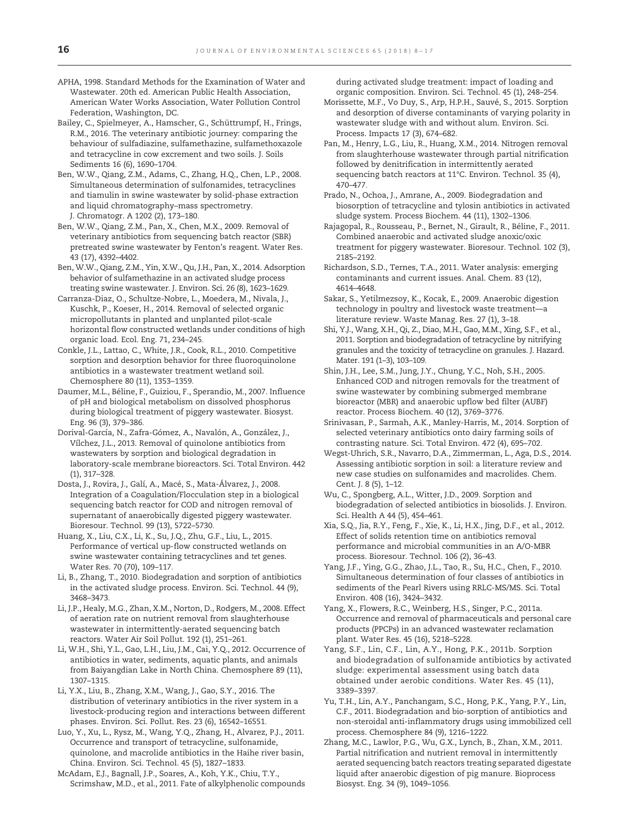APHA, 1998. Standard Methods for the Examination of Water and Wastewater. 20th ed. American Public Health Association, American Water Works Association, Water Pollution Control Federation, Washington, DC.

Bailey, C., Spielmeyer, A., Hamscher, G., Schüttrumpf, H., Frings, R.M., 2016. The veterinary antibiotic journey: comparing the behaviour of sulfadiazine, sulfamethazine, sulfamethoxazole and tetracycline in cow excrement and two soils. J. Soils Sediments 16 (6), 1690–1704.

Ben, W.W., Qiang, Z.M., Adams, C., Zhang, H.Q., Chen, L.P., 2008. Simultaneous determination of sulfonamides, tetracyclines and tiamulin in swine wastewater by solid-phase extraction and liquid chromatography–mass spectrometry. J. Chromatogr. A 1202 (2), 173–180.

Ben, W.W., Qiang, Z.M., Pan, X., Chen, M.X., 2009. Removal of veterinary antibiotics from sequencing batch reactor (SBR) pretreated swine wastewater by Fenton's reagent. Water Res. 43 (17), 4392–4402.

Ben, W.W., Qiang, Z.M., Yin, X.W., Qu, J.H., Pan, X., 2014. Adsorption behavior of sulfamethazine in an activated sludge process treating swine wastewater. J. Environ. Sci. 26 (8), 1623–1629.

Carranza-Diaz, O., Schultze-Nobre, L., Moedera, M., Nivala, J., Kuschk, P., Koeser, H., 2014. Removal of selected organic micropollutants in planted and unplanted pilot-scale horizontal flow constructed wetlands under conditions of high organic load. Ecol. Eng. 71, 234–245.

Conkle, J.L., Lattao, C., White, J.R., Cook, R.L., 2010. Competitive sorption and desorption behavior for three fluoroquinolone antibiotics in a wastewater treatment wetland soil. Chemosphere 80 (11), 1353–1359.

Daumer, M.L., Béline, F., Guiziou, F., Sperandio, M., 2007. Influence of pH and biological metabolism on dissolved phosphorus during biological treatment of piggery wastewater. Biosyst. Eng. 96 (3), 379–386.

Dorival-García, N., Zafra-Gómez, A., Navalón, A., González, J., Vílchez, J.L., 2013. Removal of quinolone antibiotics from wastewaters by sorption and biological degradation in laboratory-scale membrane bioreactors. Sci. Total Environ. 442 (1), 317–328.

Dosta, J., Rovira, J., Galí, A., Macé, S., Mata-Álvarez, J., 2008. Integration of a Coagulation/Flocculation step in a biological sequencing batch reactor for COD and nitrogen removal of supernatant of anaerobically digested piggery wastewater. Bioresour. Technol. 99 (13), 5722–5730.

Huang, X., Liu, C.X., Li, K., Su, J.Q., Zhu, G.F., Liu, L., 2015. Performance of vertical up-flow constructed wetlands on swine wastewater containing tetracyclines and tet genes. Water Res. 70 (70), 109–117.

Li, B., Zhang, T., 2010. Biodegradation and sorption of antibiotics in the activated sludge process. Environ. Sci. Technol. 44 (9), 3468–3473.

Li, J.P., Healy, M.G., Zhan, X.M., Norton, D., Rodgers, M., 2008. Effect of aeration rate on nutrient removal from slaughterhouse wastewater in intermittently-aerated sequencing batch reactors. Water Air Soil Pollut. 192 (1), 251–261.

Li, W.H., Shi, Y.L., Gao, L.H., Liu, J.M., Cai, Y.Q., 2012. Occurrence of antibiotics in water, sediments, aquatic plants, and animals from Baiyangdian Lake in North China. Chemosphere 89 (11), 1307–1315.

Li, Y.X., Liu, B., Zhang, X.M., Wang, J., Gao, S.Y., 2016. The distribution of veterinary antibiotics in the river system in a livestock-producing region and interactions between different phases. Environ. Sci. Pollut. Res. 23 (6), 16542–16551.

Luo, Y., Xu, L., Rysz, M., Wang, Y.Q., Zhang, H., Alvarez, P.J., 2011. Occurrence and transport of tetracycline, sulfonamide, quinolone, and macrolide antibiotics in the Haihe river basin, China. Environ. Sci. Technol. 45 (5), 1827–1833.

McAdam, E.J., Bagnall, J.P., Soares, A., Koh, Y.K., Chiu, T.Y., Scrimshaw, M.D., et al., 2011. Fate of alkylphenolic compounds during activated sludge treatment: impact of loading and organic composition. Environ. Sci. Technol. 45 (1), 248–254.

- Morissette, M.F., Vo Duy, S., Arp, H.P.H., Sauvé, S., 2015. Sorption and desorption of diverse contaminants of varying polarity in wastewater sludge with and without alum. Environ. Sci. Process. Impacts 17 (3), 674–682.
- Pan, M., Henry, L.G., Liu, R., Huang, X.M., 2014. Nitrogen removal from slaughterhouse wastewater through partial nitrification followed by denitrification in intermittently aerated sequencing batch reactors at 11°C. Environ. Technol. 35 (4), 470–477.

Prado, N., Ochoa, J., Amrane, A., 2009. Biodegradation and biosorption of tetracycline and tylosin antibiotics in activated sludge system. Process Biochem. 44 (11), 1302–1306.

Rajagopal, R., Rousseau, P., Bernet, N., Girault, R., Béline, F., 2011. Combined anaerobic and activated sludge anoxic/oxic treatment for piggery wastewater. Bioresour. Technol. 102 (3), 2185–2192.

Richardson, S.D., Ternes, T.A., 2011. Water analysis: emerging contaminants and current issues. Anal. Chem. 83 (12), 4614–4648.

Sakar, S., Yetilmezsoy, K., Kocak, E., 2009. Anaerobic digestion technology in poultry and livestock waste treatment—a literature review. Waste Manag. Res. 27 (1), 3–18.

Shi, Y.J., Wang, X.H., Qi, Z., Diao, M.H., Gao, M.M., Xing, S.F., et al., 2011. Sorption and biodegradation of tetracycline by nitrifying granules and the toxicity of tetracycline on granules. J. Hazard. Mater. 191 (1–3), 103–109.

Shin, J.H., Lee, S.M., Jung, J.Y., Chung, Y.C., Noh, S.H., 2005. Enhanced COD and nitrogen removals for the treatment of swine wastewater by combining submerged membrane bioreactor (MBR) and anaerobic upflow bed filter (AUBF) reactor. Process Biochem. 40 (12), 3769–3776.

Srinivasan, P., Sarmah, A.K., Manley-Harris, M., 2014. Sorption of selected veterinary antibiotics onto dairy farming soils of contrasting nature. Sci. Total Environ. 472 (4), 695–702.

Wegst-Uhrich, S.R., Navarro, D.A., Zimmerman, L., Aga, D.S., 2014. Assessing antibiotic sorption in soil: a literature review and new case studies on sulfonamides and macrolides. Chem. Cent. J. 8 (5), 1–12.

Wu, C., Spongberg, A.L., Witter, J.D., 2009. Sorption and biodegradation of selected antibiotics in biosolids. J. Environ. Sci. Health A 44 (5), 454–461.

Xia, S.Q., Jia, R.Y., Feng, F., Xie, K., Li, H.X., Jing, D.F., et al., 2012. Effect of solids retention time on antibiotics removal performance and microbial communities in an A/O-MBR process. Bioresour. Technol. 106 (2), 36–43.

Yang, J.F., Ying, G.G., Zhao, J.L., Tao, R., Su, H.C., Chen, F., 2010. Simultaneous determination of four classes of antibiotics in sediments of the Pearl Rivers using RRLC-MS/MS. Sci. Total Environ. 408 (16), 3424–3432.

Yang, X., Flowers, R.C., Weinberg, H.S., Singer, P.C., 2011a. Occurrence and removal of pharmaceuticals and personal care products (PPCPs) in an advanced wastewater reclamation plant. Water Res. 45 (16), 5218–5228.

Yang, S.F., Lin, C.F., Lin, A.Y., Hong, P.K., 2011b. Sorption and biodegradation of sulfonamide antibiotics by activated sludge: experimental assessment using batch data obtained under aerobic conditions. Water Res. 45 (11), 3389–3397.

Yu, T.H., Lin, A.Y., Panchangam, S.C., Hong, P.K., Yang, P.Y., Lin, C.F., 2011. Biodegradation and bio-sorption of antibiotics and non-steroidal anti-inflammatory drugs using immobilized cell process. Chemosphere 84 (9), 1216–1222.

Zhang, M.C., Lawlor, P.G., Wu, G.X., Lynch, B., Zhan, X.M., 2011. Partial nitrification and nutrient removal in intermittently aerated sequencing batch reactors treating separated digestate liquid after anaerobic digestion of pig manure. Bioprocess Biosyst. Eng. 34 (9), 1049–1056.